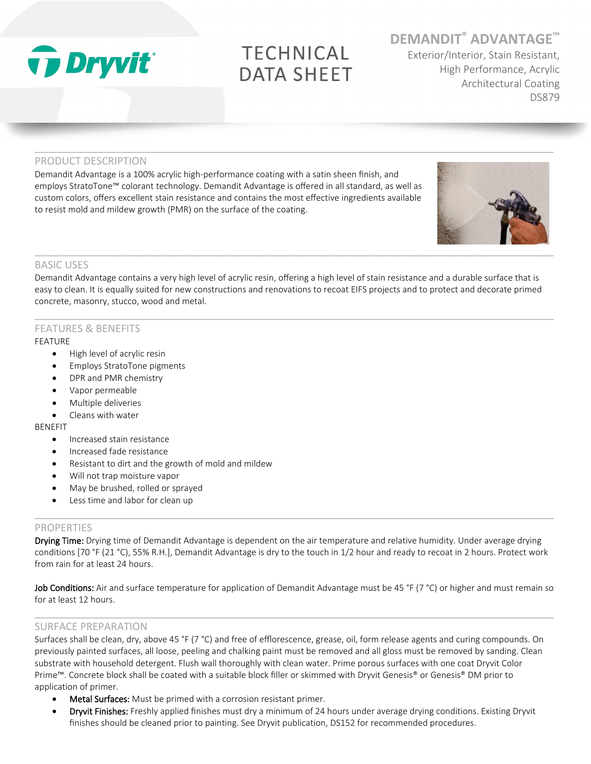

# **TECHNICAL DATA SHEET**

 $\_$  ,  $\_$  ,  $\_$  ,  $\_$  ,  $\_$  ,  $\_$  ,  $\_$  ,  $\_$  ,  $\_$  ,  $\_$  ,  $\_$  ,  $\_$  ,  $\_$  ,  $\_$  ,  $\_$  ,  $\_$  ,  $\_$  ,  $\_$  ,  $\_$  ,  $\_$  ,  $\_$  ,  $\_$  ,  $\_$  ,  $\_$  ,  $\_$  ,  $\_$  ,  $\_$  ,  $\_$  ,  $\_$  ,  $\_$  ,  $\_$  ,  $\_$  ,  $\_$  ,  $\_$  ,  $\_$  ,  $\_$  ,  $\_$  ,

**DEMANDIT® ADVANTAGE™**

Exterior/Interior, Stain Resistant, High Performance, Acrylic Architectural Coating DS879

# PRODUCT DESCRIPTION

Demandit Advantage is a 100% acrylic high-performance coating with a satin sheen finish, and employs StratoTone™ colorant technology. Demandit Advantage is offered in all standard, as well as custom colors, offers excellent stain resistance and contains the most effective ingredients available to resist mold and mildew growth (PMR) on the surface of the coating.



# BASIC USES

Demandit Advantage contains a very high level of acrylic resin, offering a high level of stain resistance and a durable surface that is easy to clean. It is equally suited for new constructions and renovations to recoat EIFS projects and to protect and decorate primed concrete, masonry, stucco, wood and metal.

 $\_$  ,  $\_$  ,  $\_$  ,  $\_$  ,  $\_$  ,  $\_$  ,  $\_$  ,  $\_$  ,  $\_$  ,  $\_$  ,  $\_$  ,  $\_$  ,  $\_$  ,  $\_$  ,  $\_$  ,  $\_$  ,  $\_$  ,  $\_$  ,  $\_$  ,  $\_$  ,  $\_$  ,  $\_$  ,  $\_$  ,  $\_$  ,  $\_$  ,  $\_$  ,  $\_$  ,  $\_$  ,  $\_$  ,  $\_$  ,  $\_$  ,  $\_$  ,  $\_$  ,  $\_$  ,  $\_$  ,  $\_$  ,  $\_$  ,

# FEATURES & BENEFITS

#### FEATURE

- High level of acrylic resin
- Employs StratoTone pigments
- DPR and PMR chemistry
- Vapor permeable
- Multiple deliveries
- Cleans with water

#### BENEFIT

- Increased stain resistance
- Increased fade resistance
- Resistant to dirt and the growth of mold and mildew
- Will not trap moisture vapor
- May be brushed, rolled or sprayed
- Less time and labor for clean up

## PROPERTIES

Drying Time: Drying time of Demandit Advantage is dependent on the air temperature and relative humidity. Under average drying conditions [70 °F (21 °C), 55% R.H.], Demandit Advantage is dry to the touch in 1/2 hour and ready to recoat in 2 hours. Protect work from rain for at least 24 hours.

 $\_$  ,  $\_$  ,  $\_$  ,  $\_$  ,  $\_$  ,  $\_$  ,  $\_$  ,  $\_$  ,  $\_$  ,  $\_$  ,  $\_$  ,  $\_$  ,  $\_$  ,  $\_$  ,  $\_$  ,  $\_$  ,  $\_$  ,  $\_$  ,  $\_$  ,  $\_$  ,  $\_$  ,  $\_$  ,  $\_$  ,  $\_$  ,  $\_$  ,  $\_$  ,  $\_$  ,  $\_$  ,  $\_$  ,  $\_$  ,  $\_$  ,  $\_$  ,  $\_$  ,  $\_$  ,  $\_$  ,  $\_$  ,  $\_$  ,

Job Conditions: Air and surface temperature for application of Demandit Advantage must be 45 °F (7 °C) or higher and must remain so for at least 12 hours.

 $\_$  ,  $\_$  ,  $\_$  ,  $\_$  ,  $\_$  ,  $\_$  ,  $\_$  ,  $\_$  ,  $\_$  ,  $\_$  ,  $\_$  ,  $\_$  ,  $\_$  ,  $\_$  ,  $\_$  ,  $\_$  ,  $\_$  ,  $\_$  ,  $\_$  ,  $\_$  ,  $\_$  ,  $\_$  ,  $\_$  ,  $\_$  ,  $\_$  ,  $\_$  ,  $\_$  ,  $\_$  ,  $\_$  ,  $\_$  ,  $\_$  ,  $\_$  ,  $\_$  ,  $\_$  ,  $\_$  ,  $\_$  ,  $\_$  ,

## SURFACE PREPARATION

Surfaces shall be clean, dry, above 45 °F (7 °C) and free of efflorescence, grease, oil, form release agents and curing compounds. On previously painted surfaces, all loose, peeling and chalking paint must be removed and all gloss must be removed by sanding. Clean substrate with household detergent. Flush wall thoroughly with clean water. Prime porous surfaces with one coat Dryvit Color Prime™. Concrete block shall be coated with a suitable block filler or skimmed with Dryvit Genesis® or Genesis® DM prior to application of primer.

- Metal Surfaces: Must be primed with a corrosion resistant primer.
- Dryvit Finishes: Freshly applied finishes must dry a minimum of 24 hours under average drying conditions. Existing Dryvit finishes should be cleaned prior to painting. See Dryvit publication, DS152 for recommended procedures.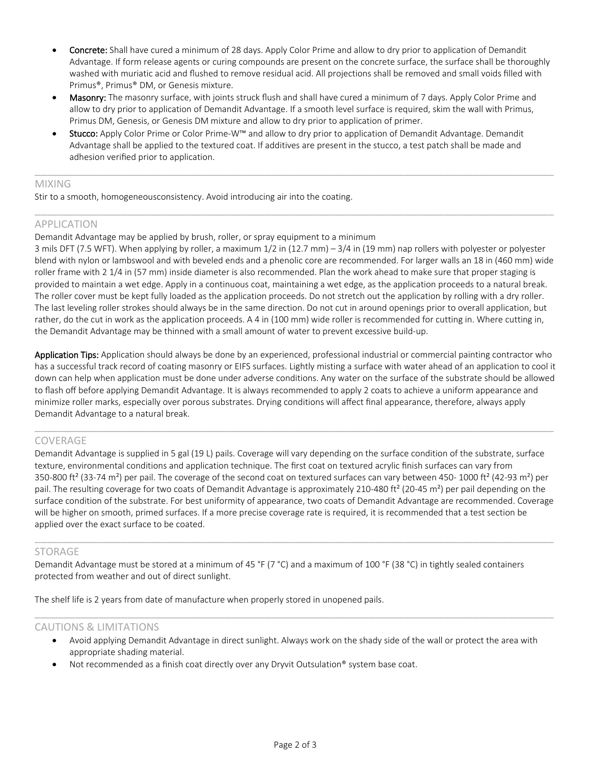- Concrete: Shall have cured a minimum of 28 days. Apply Color Prime and allow to dry prior to application of Demandit Advantage. If form release agents or curing compounds are present on the concrete surface, the surface shall be thoroughly washed with muriatic acid and flushed to remove residual acid. All projections shall be removed and small voids filled with Primus®, Primus® DM, or Genesis mixture.
- Masonry: The masonry surface, with joints struck flush and shall have cured a minimum of 7 days. Apply Color Prime and allow to dry prior to application of Demandit Advantage. If a smooth level surface is required, skim the wall with Primus, Primus DM, Genesis, or Genesis DM mixture and allow to dry prior to application of primer.
- Stucco: Apply Color Prime or Color Prime-W™ and allow to dry prior to application of Demandit Advantage. Demandit Advantage shall be applied to the textured coat. If additives are present in the stucco, a test patch shall be made and adhesion verified prior to application.

 $\_$  ,  $\_$  ,  $\_$  ,  $\_$  ,  $\_$  ,  $\_$  ,  $\_$  ,  $\_$  ,  $\_$  ,  $\_$  ,  $\_$  ,  $\_$  ,  $\_$  ,  $\_$  ,  $\_$  ,  $\_$  ,  $\_$  ,  $\_$  ,  $\_$  ,  $\_$  ,  $\_$  ,  $\_$  ,  $\_$  ,  $\_$  ,  $\_$  ,  $\_$  ,  $\_$  ,  $\_$  ,  $\_$  ,  $\_$  ,  $\_$  ,  $\_$  ,  $\_$  ,  $\_$  ,  $\_$  ,  $\_$  ,  $\_$  ,

 $\_$  ,  $\_$  ,  $\_$  ,  $\_$  ,  $\_$  ,  $\_$  ,  $\_$  ,  $\_$  ,  $\_$  ,  $\_$  ,  $\_$  ,  $\_$  ,  $\_$  ,  $\_$  ,  $\_$  ,  $\_$  ,  $\_$  ,  $\_$  ,  $\_$  ,  $\_$  ,  $\_$  ,  $\_$  ,  $\_$  ,  $\_$  ,  $\_$  ,  $\_$  ,  $\_$  ,  $\_$  ,  $\_$  ,  $\_$  ,  $\_$  ,  $\_$  ,  $\_$  ,  $\_$  ,  $\_$  ,  $\_$  ,  $\_$  ,

#### MIXING

Stir to a smooth, homogeneousconsistency. Avoid introducing air into the coating.

## APPLICATION

Demandit Advantage may be applied by brush, roller, or spray equipment to a minimum

3 mils DFT (7.5 WFT). When applying by roller, a maximum 1/2 in (12.7 mm) – 3/4 in (19 mm) nap rollers with polyester or polyester blend with nylon or lambswool and with beveled ends and a phenolic core are recommended. For larger walls an 18 in (460 mm) wide roller frame with 2 1/4 in (57 mm) inside diameter is also recommended. Plan the work ahead to make sure that proper staging is provided to maintain a wet edge. Apply in a continuous coat, maintaining a wet edge, as the application proceeds to a natural break. The roller cover must be kept fully loaded as the application proceeds. Do not stretch out the application by rolling with a dry roller. The last leveling roller strokes should always be in the same direction. Do not cut in around openings prior to overall application, but rather, do the cut in work as the application proceeds. A 4 in (100 mm) wide roller is recommended for cutting in. Where cutting in, the Demandit Advantage may be thinned with a small amount of water to prevent excessive build-up.

Application Tips: Application should always be done by an experienced, professional industrial or commercial painting contractor who has a successful track record of coating masonry or EIFS surfaces. Lightly misting a surface with water ahead of an application to cool it down can help when application must be done under adverse conditions. Any water on the surface of the substrate should be allowed to flash off before applying Demandit Advantage. It is always recommended to apply 2 coats to achieve a uniform appearance and minimize roller marks, especially over porous substrates. Drying conditions will affect final appearance, therefore, always apply Demandit Advantage to a natural break.

 $\_$  ,  $\_$  ,  $\_$  ,  $\_$  ,  $\_$  ,  $\_$  ,  $\_$  ,  $\_$  ,  $\_$  ,  $\_$  ,  $\_$  ,  $\_$  ,  $\_$  ,  $\_$  ,  $\_$  ,  $\_$  ,  $\_$  ,  $\_$  ,  $\_$  ,  $\_$  ,  $\_$  ,  $\_$  ,  $\_$  ,  $\_$  ,  $\_$  ,  $\_$  ,  $\_$  ,  $\_$  ,  $\_$  ,  $\_$  ,  $\_$  ,  $\_$  ,  $\_$  ,  $\_$  ,  $\_$  ,  $\_$  ,  $\_$  ,

# COVERAGE

Demandit Advantage is supplied in 5 gal (19 L) pails. Coverage will vary depending on the surface condition of the substrate, surface texture, environmental conditions and application technique. The first coat on textured acrylic finish surfaces can vary from 350-800 ft<sup>2</sup> (33-74 m<sup>2</sup>) per pail. The coverage of the second coat on textured surfaces can vary between 450- 1000 ft<sup>2</sup> (42-93 m<sup>2</sup>) per pail. The resulting coverage for two coats of Demandit Advantage is approximately 210-480 ft<sup>2</sup> (20-45 m<sup>2</sup>) per pail depending on the surface condition of the substrate. For best uniformity of appearance, two coats of Demandit Advantage are recommended. Coverage will be higher on smooth, primed surfaces. If a more precise coverage rate is required, it is recommended that a test section be applied over the exact surface to be coated.

 $\_$  ,  $\_$  ,  $\_$  ,  $\_$  ,  $\_$  ,  $\_$  ,  $\_$  ,  $\_$  ,  $\_$  ,  $\_$  ,  $\_$  ,  $\_$  ,  $\_$  ,  $\_$  ,  $\_$  ,  $\_$  ,  $\_$  ,  $\_$  ,  $\_$  ,  $\_$  ,  $\_$  ,  $\_$  ,  $\_$  ,  $\_$  ,  $\_$  ,  $\_$  ,  $\_$  ,  $\_$  ,  $\_$  ,  $\_$  ,  $\_$  ,  $\_$  ,  $\_$  ,  $\_$  ,  $\_$  ,  $\_$  ,  $\_$  ,

## STORAGE

Demandit Advantage must be stored at a minimum of 45 °F (7 °C) and a maximum of 100 °F (38 °C) in tightly sealed containers protected from weather and out of direct sunlight.

The shelf life is 2 years from date of manufacture when properly stored in unopened pails.

## CAUTIONS & LIMITATIONS

• Avoid applying Demandit Advantage in direct sunlight. Always work on the shady side of the wall or protect the area with appropriate shading material.

 $\_$  ,  $\_$  ,  $\_$  ,  $\_$  ,  $\_$  ,  $\_$  ,  $\_$  ,  $\_$  ,  $\_$  ,  $\_$  ,  $\_$  ,  $\_$  ,  $\_$  ,  $\_$  ,  $\_$  ,  $\_$  ,  $\_$  ,  $\_$  ,  $\_$  ,  $\_$  ,  $\_$  ,  $\_$  ,  $\_$  ,  $\_$  ,  $\_$  ,  $\_$  ,  $\_$  ,  $\_$  ,  $\_$  ,  $\_$  ,  $\_$  ,  $\_$  ,  $\_$  ,  $\_$  ,  $\_$  ,  $\_$  ,  $\_$  ,

Not recommended as a finish coat directly over any Dryvit Outsulation® system base coat.